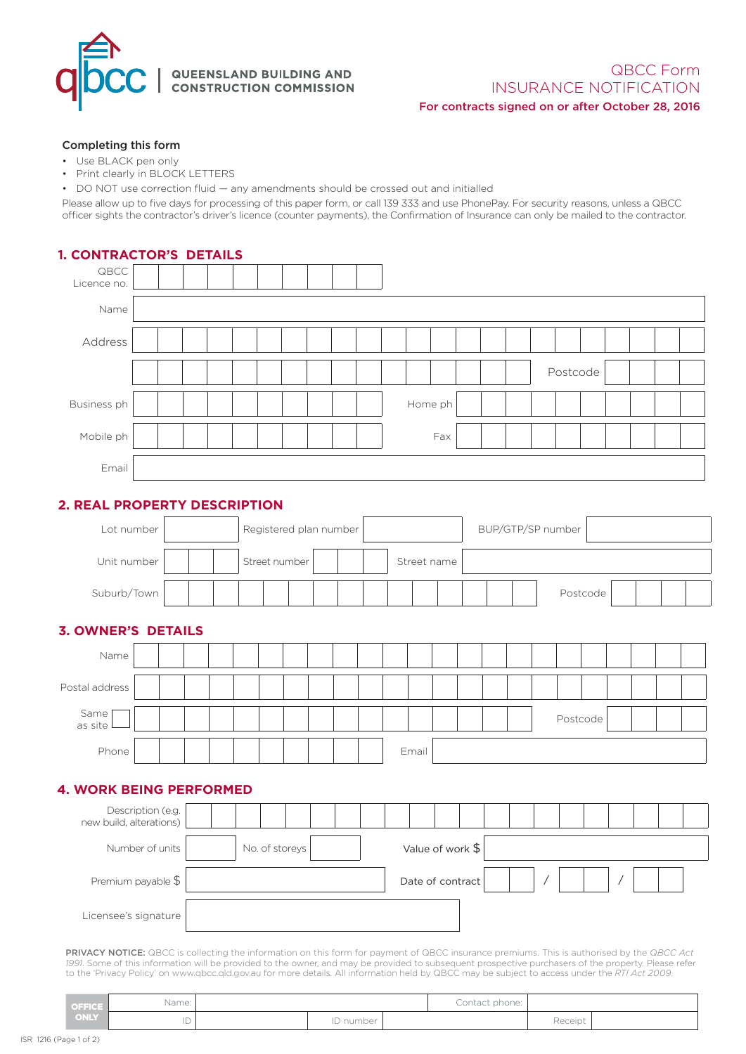

## QUEENSLAND BUILDING AND<br>CONSTRUCTION COMMISSION

#### QBCC Form INSURANCE NOTIFICATION For contracts signed on or after October 28, 2016

#### Completing this form

- Use BLACK pen only
- Print clearly in BLOCK LETTERS
- DO NOT use correction fluid any amendments should be crossed out and initialled

Please allow up to five days for processing of this paper form, or call 139 333 and use PhonePay. For security reasons, unless a QBCC officer sights the contractor's driver's licence (counter payments), the Confirmation of Insurance can only be mailed to the contractor.

| <b>1. CONTRACTOR'S DETAILS</b>                                       |                   |  |               |                  |  |  |  |                   |  |                  |         |     |  |  |  |  |          |          |  |  |  |
|----------------------------------------------------------------------|-------------------|--|---------------|------------------|--|--|--|-------------------|--|------------------|---------|-----|--|--|--|--|----------|----------|--|--|--|
| QBCC<br>Licence no.                                                  |                   |  |               |                  |  |  |  |                   |  |                  |         |     |  |  |  |  |          |          |  |  |  |
| Name                                                                 |                   |  |               |                  |  |  |  |                   |  |                  |         |     |  |  |  |  |          |          |  |  |  |
| Address                                                              |                   |  |               |                  |  |  |  |                   |  |                  |         |     |  |  |  |  |          |          |  |  |  |
|                                                                      |                   |  |               |                  |  |  |  |                   |  |                  |         |     |  |  |  |  | Postcode |          |  |  |  |
|                                                                      |                   |  |               |                  |  |  |  |                   |  |                  |         |     |  |  |  |  |          |          |  |  |  |
| Business ph                                                          |                   |  |               |                  |  |  |  |                   |  |                  | Home ph |     |  |  |  |  |          |          |  |  |  |
| Mobile ph                                                            |                   |  |               |                  |  |  |  |                   |  |                  |         | Fax |  |  |  |  |          |          |  |  |  |
| Email                                                                |                   |  |               |                  |  |  |  |                   |  |                  |         |     |  |  |  |  |          |          |  |  |  |
|                                                                      |                   |  |               |                  |  |  |  |                   |  |                  |         |     |  |  |  |  |          |          |  |  |  |
| 2. REAL PROPERTY DESCRIPTION<br>Registered plan number<br>Lot number |                   |  |               |                  |  |  |  | BUP/GTP/SP number |  |                  |         |     |  |  |  |  |          |          |  |  |  |
| Unit number                                                          |                   |  | Street number |                  |  |  |  | Street name       |  |                  |         |     |  |  |  |  |          |          |  |  |  |
| Suburb/Town                                                          |                   |  |               |                  |  |  |  |                   |  |                  |         |     |  |  |  |  |          | Postcode |  |  |  |
| <b>3. OWNER'S DETAILS</b>                                            |                   |  |               |                  |  |  |  |                   |  |                  |         |     |  |  |  |  |          |          |  |  |  |
| Name                                                                 |                   |  |               |                  |  |  |  |                   |  |                  |         |     |  |  |  |  |          |          |  |  |  |
|                                                                      |                   |  |               |                  |  |  |  |                   |  |                  |         |     |  |  |  |  |          |          |  |  |  |
| Postal address                                                       |                   |  |               |                  |  |  |  |                   |  |                  |         |     |  |  |  |  |          |          |  |  |  |
| Same<br>as site                                                      |                   |  |               |                  |  |  |  |                   |  |                  |         |     |  |  |  |  | Postcode |          |  |  |  |
| Phone                                                                |                   |  |               |                  |  |  |  |                   |  |                  | Email   |     |  |  |  |  |          |          |  |  |  |
| <b>4. WORK BEING PERFORMED</b>                                       |                   |  |               |                  |  |  |  |                   |  |                  |         |     |  |  |  |  |          |          |  |  |  |
|                                                                      | Description (e.g. |  |               |                  |  |  |  |                   |  |                  |         |     |  |  |  |  |          |          |  |  |  |
| new build, alterations)<br>Number of units                           |                   |  |               | No. of storeys   |  |  |  |                   |  | Value of work \$ |         |     |  |  |  |  |          |          |  |  |  |
| Premium payable \$                                                   |                   |  |               | Date of contract |  |  |  |                   |  |                  |         |     |  |  |  |  |          |          |  |  |  |
| Licensee's signature                                                 |                   |  |               |                  |  |  |  |                   |  |                  |         |     |  |  |  |  |          |          |  |  |  |

**PRIVACY NOTICE:** QBCC is collecting the information on this form for payment of QBCC insurance premiums. This is authorised by the Q*BCC Act*<br>*1991.* Some of this information will be provided to the owner, and may be prov to the 'Privacy Policy' on www.qbcc.qld.gov.au for more details. All information held by QBCC may be subject to access under the *RTI Act 2009*.

| <b>OFFICE</b> | Name:    |           | Contact phone: |         |  |
|---------------|----------|-----------|----------------|---------|--|
| ONLY          | חו<br>ΙU | ID number |                | Receipt |  |